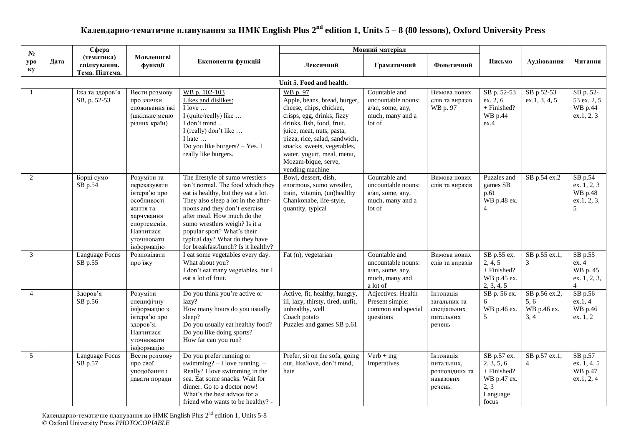## **Календарно-тематичне планування за НМК English Plus 2 nd edition 1, Units 5 – 8 (80 lessons), Oxford University Press**

| $N_2$          |      | Сфера                                        |                                                                                                                                               |                                                                                                                                                                                                                                                                                                                                                             | Мовний матеріал                                                                                                                                                                                                                                                                                      |                                                                                       |                                                                   |                                                                                      |                                              |                                                                     |
|----------------|------|----------------------------------------------|-----------------------------------------------------------------------------------------------------------------------------------------------|-------------------------------------------------------------------------------------------------------------------------------------------------------------------------------------------------------------------------------------------------------------------------------------------------------------------------------------------------------------|------------------------------------------------------------------------------------------------------------------------------------------------------------------------------------------------------------------------------------------------------------------------------------------------------|---------------------------------------------------------------------------------------|-------------------------------------------------------------------|--------------------------------------------------------------------------------------|----------------------------------------------|---------------------------------------------------------------------|
| ypo<br>ку      | Дата | (тематика)<br>спілкування.<br>Тема. Підтема. | Мовленнєві<br>функції                                                                                                                         | Експоненти функцій                                                                                                                                                                                                                                                                                                                                          | Лексичний                                                                                                                                                                                                                                                                                            | Граматичний                                                                           | Фонетичний                                                        | Письмо                                                                               | Аудіювання                                   | Читання                                                             |
|                |      |                                              |                                                                                                                                               |                                                                                                                                                                                                                                                                                                                                                             | Unit 5. Food and health.                                                                                                                                                                                                                                                                             |                                                                                       |                                                                   |                                                                                      |                                              |                                                                     |
|                |      | Їжа та здоров'я<br>SB, p. 52-53              | Вести розмову<br>про звички<br>споживання їжі<br>(шкільне меню<br>різних країн)                                                               | WB p. 102-103<br>Likes and dislikes:<br>I love<br>I (quite/really) like<br>I don't mind<br>I (really) don't like<br>I hate<br>Do you like burgers? - Yes. I<br>really like burgers.                                                                                                                                                                         | WB p. 97<br>Apple, beans, bread, burger,<br>cheese, chips, chicken,<br>crisps, egg, drinks, fizzy<br>drinks, fish, food, fruit,<br>juice, meat, nuts, pasta,<br>pizza, rice, salad, sandwich,<br>snacks, sweets, vegetables,<br>water, yogurt, meal, menu,<br>Mozam-bique, serve,<br>vending machine | Countable and<br>uncountable nouns:<br>a/an, some, any,<br>much, many and a<br>lot of | Вимова нових<br>слів та виразів<br>WB p. 97                       | SB p. 52-53<br>ex. 2, 6<br>+ Finished?<br>WB p.44<br>ex.4                            | SB p.52-53<br>ex.1, 3, 4, 5                  | SB p. 52-<br>53 ex. 2, 5<br>WB p.44<br>ex.1, 2, 3                   |
| 2              |      | Борці сумо<br>SB p.54                        | Розуміти та<br>переказувати<br>інтерв'ю про<br>особливості<br>життя та<br>харчування<br>спортсменів.<br>Навчитися<br>уточнювати<br>інформацію | The lifestyle of sumo wrestlers<br>isn't normal. The food which they<br>eat is healthy, but they eat a lot.<br>They also sleep a lot in the after-<br>noons and they don't exercise<br>after meal. How much do the<br>sumo wrestlers weigh? Is it a<br>popular sport? What's their<br>typical day? What do they have<br>for breakfast/lunch? Is it healthy? | Bowl, dessert, dish,<br>enormous, sumo wrestler,<br>train, vitamin, (un)healthy<br>Chankonabe, life-style,<br>quantity, typical                                                                                                                                                                      | Countable and<br>uncountable nouns:<br>a/an, some, any,<br>much, many and a<br>lot of | Вимова нових<br>слів та виразів                                   | Puzzles and<br>games SB<br>p.61<br>WB p.48 ex.<br>$\overline{4}$                     | SB p.54 ex.2                                 | SB p.54<br>ex. 1, 2, 3<br>WB p.48<br>ex.1, 2, 3,<br>5               |
| 3              |      | Language Focus<br>SB p.55                    | Розповідати<br>про їжу                                                                                                                        | I eat some vegetables every day.<br>What about you?<br>I don't eat many vegetables, but I<br>eat a lot of fruit.                                                                                                                                                                                                                                            | Fat (n), vegetarian                                                                                                                                                                                                                                                                                  | Countable and<br>uncountable nouns:<br>a/an, some, any,<br>much, many and<br>a lot of | Вимова нових<br>слів та виразів                                   | SB p.55 ex.<br>2, 4, 5<br>+ Finished?<br>WB p.45 ex.<br>2, 3, 4, 5                   | SB p.55 ex.1,<br>3                           | SB p.55<br>ex. 4<br>WB p. 45<br>ex. 1, 2, 3,<br>$\overline{4}$      |
| $\overline{4}$ |      | Здоров'я<br>SB p.56                          | Розуміти<br>специфічну<br>інформацію з<br>інтерв'ю про<br>здоров'я.<br>Навчитися<br>уточнювати<br>інформацію                                  | Do you think you're active or<br>lazy?<br>How many hours do you usually<br>sleep?<br>Do you usually eat healthy food?<br>Do you like doing sports?<br>How far can you run?                                                                                                                                                                                  | Active, fit, healthy, hungry,<br>ill, lazy, thirsty, tired, unfit,<br>unhealthy, well<br>Coach potato<br>Puzzles and games SB p.61                                                                                                                                                                   | Adjectives: Health<br>Present simple:<br>common and special<br>questions              | Інтонація<br>загальних та<br>спеціальних<br>питальних<br>речень   | SB p. 56 ex.<br>6<br>WB p.46 ex.<br>5                                                | SB p.56 ex.2,<br>5, 6<br>WB p.46 ex.<br>3, 4 | $SB$ p.56<br>ex.1, 4<br>WB p.46<br>ex. 1, 2                         |
| 5              |      | Language Focus<br>SB p.57                    | Вести розмову<br>про свої<br>уподобання і<br>давати поради                                                                                    | Do you prefer running or<br>swimming? $-$ I love running. $-$<br>Really? I love swimming in the<br>sea. Eat some snacks. Wait for<br>dinner. Go to a doctor now!<br>What's the best advice for a<br>friend who wants to be healthy? -                                                                                                                       | Prefer, sit on the sofa, going<br>out, like/love, don't mind,<br>hate                                                                                                                                                                                                                                | $Verb + ing$<br>Imperatives                                                           | Інтонація<br>питальних,<br>розповідних та<br>наказових<br>речень. | SB p.57 ex.<br>2, 3, 5, 6<br>+ Finished?<br>WB p.47 ex.<br>2, 3<br>Language<br>focus | SB p.57 ex.1,<br>$\overline{4}$              | $\overline{\text{SB}}$ p.57<br>ex. 1, 4, 5<br>WB p.47<br>ex.1, 2, 4 |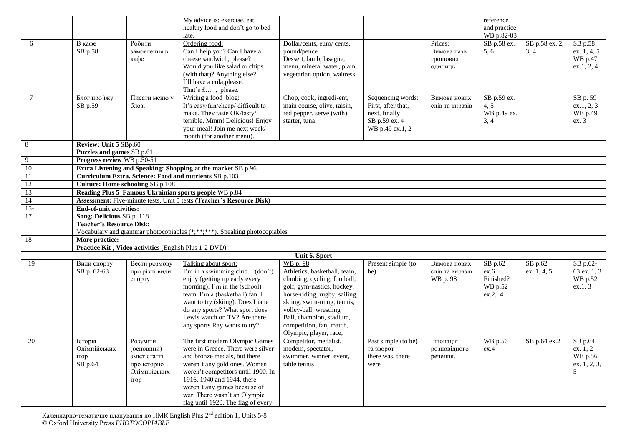|                 |                |                                                         | My advice is: exercise, eat                                                  |                                                              |                     |                             | reference             |                |                        |
|-----------------|----------------|---------------------------------------------------------|------------------------------------------------------------------------------|--------------------------------------------------------------|---------------------|-----------------------------|-----------------------|----------------|------------------------|
|                 |                |                                                         | healthy food and don't go to bed                                             |                                                              |                     |                             | and practice          |                |                        |
|                 |                |                                                         | late.                                                                        |                                                              |                     |                             | WB p.82-83            |                |                        |
| 6               | В кафе         | Робити                                                  | Ordering food:                                                               | Dollar/cents, euro/ cents,                                   |                     | Prices:                     | SB p.58 ex.           | SB p.58 ex. 2, | SB p.58                |
|                 | SB p.58        | замовлення в                                            | Can I help you? Can I have a                                                 | pound/pence                                                  |                     | Вимова назв                 | 5, 6                  | 3, 4           | ex. 1, 4, 5            |
|                 |                | кафе                                                    | cheese sandwich, please?                                                     | Dessert, lamb, lasagne,                                      |                     | грошових                    |                       |                | WB p.47                |
|                 |                |                                                         | Would you like salad or chips<br>(with that)? Anything else?                 | menu, mineral water, plain,                                  |                     | ОДИНИЦЬ                     |                       |                | ex.1, 2, 4             |
|                 |                |                                                         | I'll have a cola, please.                                                    | vegetarian option, waitress                                  |                     |                             |                       |                |                        |
|                 |                |                                                         | That's £, please.                                                            |                                                              |                     |                             |                       |                |                        |
| 7               | Блог про їжу   | Писати меню у                                           | Writing a food blog:                                                         | Chop, cook, ingredi-ent,                                     | Sequencing words:   | Вимова нових                | SB p.59 ex.           |                | SB p. 59               |
|                 | SB p.59        | блозі                                                   | It's easy/fun/cheap/ difficult to                                            | main course, olive, raisin,                                  | First, after that,  | слів та виразів             | 4, 5                  |                | ex.1, 2, 3             |
|                 |                |                                                         | make. They taste OK/tasty/                                                   | red pepper, serve (with),                                    | next, finally       |                             | WB p.49 ex.           |                | WB p.49                |
|                 |                |                                                         | terrible. Mmm! Delicious! Enjoy                                              | starter, tuna                                                | SB p.59 ex. 4       |                             | 3, 4                  |                | ex. 3                  |
|                 |                |                                                         | your meal! Join me next week/                                                |                                                              | WB p.49 ex.1, 2     |                             |                       |                |                        |
|                 |                |                                                         | month (for another menu).                                                    |                                                              |                     |                             |                       |                |                        |
| 8               |                | Review: Unit 5 SBp.60                                   |                                                                              |                                                              |                     |                             |                       |                |                        |
| 9               |                | Puzzles and games SB p.61<br>Progress review WB p.50-51 |                                                                              |                                                              |                     |                             |                       |                |                        |
| $\overline{10}$ |                |                                                         | Extra Listening and Speaking: Shopping at the market SB p.96                 |                                                              |                     |                             |                       |                |                        |
| 11              |                | Curriculum Extra. Science: Food and nutrients SB p.103  |                                                                              |                                                              |                     |                             |                       |                |                        |
| 12              |                | <b>Culture: Home schooling SB p.108</b>                 |                                                                              |                                                              |                     |                             |                       |                |                        |
| 13              |                | Reading Plus 5 Famous Ukrainian sports people WB p.84   |                                                                              |                                                              |                     |                             |                       |                |                        |
| $\overline{14}$ |                |                                                         | <b>Assessment:</b> Five-minute tests, Unit 5 tests (Teacher's Resource Disk) |                                                              |                     |                             |                       |                |                        |
| $15 -$          |                | <b>End-of-unit activities:</b>                          |                                                                              |                                                              |                     |                             |                       |                |                        |
| 17              |                | Song: Delicious SB p. 118                               |                                                                              |                                                              |                     |                             |                       |                |                        |
|                 |                | <b>Teacher's Resource Disk:</b>                         | Vocabulary and grammar photocopiables (*,**,***). Speaking photocopiables    |                                                              |                     |                             |                       |                |                        |
| 18              | More practice: |                                                         |                                                                              |                                                              |                     |                             |                       |                |                        |
|                 |                | Practice Kit, Video activities (English Plus 1-2 DVD)   |                                                                              |                                                              |                     |                             |                       |                |                        |
|                 |                |                                                         |                                                                              | Unit 6. Sport                                                |                     |                             |                       |                |                        |
| 19              | Види спорту    | Вести розмову                                           | Talking about sport:                                                         | WB p. 98                                                     | Present simple (to  | Вимова нових                | SB p.62               | SB p.62        | SB p.62-               |
|                 | SB p. 62-63    | про різні види                                          | I'm in a swimming club. I (don't)<br>enjoy (getting up early every           | Athletics, basketball, team,<br>climbing, cycling, football, | be)                 | слів та виразів<br>WB p. 98 | $ex.6 +$<br>Finished? | ex. 1, 4, 5    | 63 ex. 1, 3<br>WB p.52 |
|                 |                | спорту                                                  | morning). I'm in the (school)                                                | golf, gym-nastics, hockey,                                   |                     |                             | WB p.52               |                | ex.1, 3                |
|                 |                |                                                         | team. I'm a (basketball) fan. I                                              | horse-riding, rugby, sailing,                                |                     |                             | ex.2, 4               |                |                        |
|                 |                |                                                         | want to try (skiing). Does Liane                                             | skiing, swim-ming, tennis,                                   |                     |                             |                       |                |                        |
|                 |                |                                                         | do any sports? What sport does                                               | volley-ball, wrestling                                       |                     |                             |                       |                |                        |
|                 |                |                                                         | Lewis watch on TV? Are there                                                 | Ball, champion, stadium,                                     |                     |                             |                       |                |                        |
|                 |                |                                                         | any sports Ray wants to try?                                                 | competition, fan, match,                                     |                     |                             |                       |                |                        |
|                 |                |                                                         |                                                                              | Olympic, player, race,                                       |                     |                             |                       |                |                        |
| 20              | Історія        | Розуміти                                                | The first modern Olympic Games                                               | Competitor, medalist,                                        | Past simple (to be) | Інтонація                   | WB p.56               | SB p.64 ex.2   | SB p.64                |
|                 | Олімпійських   | (основний)                                              | were in Greece. There were silver                                            | modern, spectator,                                           | та зворот           | розповідного                | ex.4                  |                | ex. 1, 2               |
|                 | ігор           | зміст статті                                            | and bronze medals, but there                                                 | swimmer, winner, event,                                      | there was, there    | речення.                    |                       |                | WB p.56                |
|                 | SB p.64        | про історію                                             | weren't any gold ones. Women                                                 | table tennis                                                 | were                |                             |                       |                | ex. 1, 2, 3,<br>5      |
|                 |                | Олімпійських                                            | weren't competitors until 1900. In<br>1916, 1940 and 1944, there             |                                                              |                     |                             |                       |                |                        |
|                 |                | irop                                                    | weren't any games because of                                                 |                                                              |                     |                             |                       |                |                        |
|                 |                |                                                         | war. There wasn't an Olympic                                                 |                                                              |                     |                             |                       |                |                        |
|                 |                |                                                         | flag until 1920. The flag of every                                           |                                                              |                     |                             |                       |                |                        |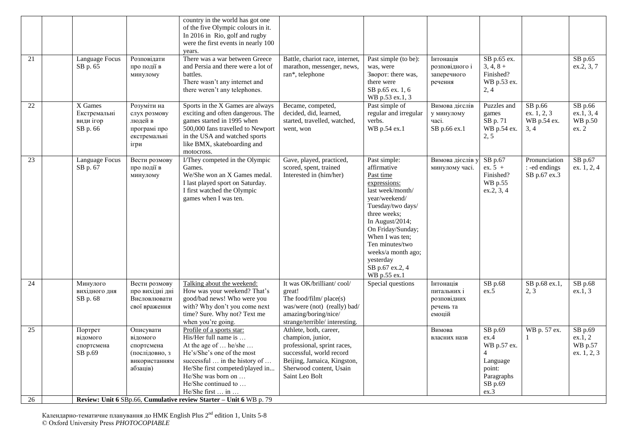|    |                                                  |                                                                                    | country in the world has got one<br>of the five Olympic colours in it.<br>In 2016 in Rio, golf and rugby<br>were the first events in nearly 100<br>years.                                                                                                      |                                                                                                                                                                                    |                                                                                                                                                                                                                                                                                        |                                                                |                                                                                                           |                                                |                                              |
|----|--------------------------------------------------|------------------------------------------------------------------------------------|----------------------------------------------------------------------------------------------------------------------------------------------------------------------------------------------------------------------------------------------------------------|------------------------------------------------------------------------------------------------------------------------------------------------------------------------------------|----------------------------------------------------------------------------------------------------------------------------------------------------------------------------------------------------------------------------------------------------------------------------------------|----------------------------------------------------------------|-----------------------------------------------------------------------------------------------------------|------------------------------------------------|----------------------------------------------|
| 21 | <b>Language Focus</b><br>SB p. 65                | Розповідати<br>про події в<br>минулому                                             | There was a war between Greece<br>and Persia and there were a lot of<br>battles.<br>There wasn't any internet and<br>there weren't any telephones.                                                                                                             | Battle, chariot race, internet,<br>marathon, messenger, news,<br>ran*, telephone                                                                                                   | Past simple (to be):<br>was, were<br>Зворот: there was,<br>there were<br>SB p.65 ex. 1, 6<br>WB p.53 ex.1, 3                                                                                                                                                                           | Інтонація<br>розповідного і<br>заперечного<br>речення          | SB p.65 ex.<br>$3, 4, 8 +$<br>Finished?<br>WB p.53 ex.<br>2, 4                                            |                                                | SB p.65<br>ex.2, 3, 7                        |
| 22 | X Games<br>Екстремальні<br>види ігор<br>SB p. 66 | Розуміти на<br>слух розмову<br>людей в<br>програмі про<br>екстремальні<br>ігри     | Sports in the X Games are always<br>exciting and often dangerous. The<br>games started in 1995 when<br>500,000 fans travelled to Newport<br>in the USA and watched sports<br>like BMX, skateboarding and<br>motocross.                                         | Became, competed,<br>decided, did, learned,<br>started, travelled, watched,<br>went, won                                                                                           | Past simple of<br>regular and irregular<br>verbs.<br>WB p.54 ex.1                                                                                                                                                                                                                      | Вимова дієслів<br>у минулому<br>часі.<br>SB p.66 ex.1          | Puzzles and<br>games<br>SB p. 71<br>WB p.54 ex.<br>2, 5                                                   | SB p.66<br>ex. 1, 2, 3<br>WB p.54 ex.<br>3, 4  | SB p.66<br>ex.1, 3, 4<br>WB p.50<br>ex. 2    |
| 23 | Language Focus<br>SB p. 67                       | Вести розмову<br>про події в<br>минулому                                           | I/They competed in the Olympic<br>Games.<br>We/She won an X Games medal.<br>I last played sport on Saturday.<br>I first watched the Olympic<br>games when I was ten.                                                                                           | Gave, played, practiced,<br>scored, spent, trained<br>Interested in (him/her)                                                                                                      | Past simple:<br>affirmative<br>Past time<br>expressions:<br>last week/month/<br>vear/weekend/<br>Tuesday/two days/<br>three weeks;<br>In August/2014;<br>On Friday/Sunday;<br>When I was ten;<br>Ten minutes/two<br>weeks/a month ago;<br>yesterday<br>SB p.67 ex.2, 4<br>WB p.55 ex.1 | Вимова дієслів у<br>минулому часі.                             | SB p.67<br>$ex. 5 +$<br>Finished?<br>WB p.55<br>ex.2, 3, 4                                                | Pronunciation<br>: -ed endings<br>SB p.67 ex.3 | SB p.67<br>ex. 1, 2, 4                       |
| 24 | Минулого<br>вихідного дня<br>SB p. 68            | Вести розмову<br>про вихідні дні<br>Висловлювати<br>свої враження                  | Talking about the weekend:<br>How was your weekend? That's<br>good/bad news! Who were you<br>with? Why don't you come next<br>time? Sure. Why not? Text me<br>when you're going.                                                                               | It was OK/brilliant/cool/<br>great!<br>The food/film/ $place(s)$<br>was/were (not) (really) bad/<br>amazing/boring/nice/<br>strange/terrible/ interesting.                         | Special questions                                                                                                                                                                                                                                                                      | Інтонація<br>питальних і<br>розповідних<br>речень та<br>емоцій | SB p.68<br>ex.5                                                                                           | SB p.68 ex.1,<br>2, 3                          | SB p.68<br>ex.1, 3                           |
| 25 | Портрет<br>відомого<br>спортсмена<br>SB p.69     | Описувати<br>відомого<br>спортсмена<br>(послідовно, з<br>використанням<br>абзаців) | Profile of a sports star:<br>His/Her full name is<br>At the age of  he/she<br>He's/She's one of the most<br>successful $\ldots$ in the history of $\ldots$<br>He/She first competed/played in<br>He/She was born on<br>He/She continued to<br>He/She first  in | Athlete, both, career,<br>champion, junior,<br>professional, sprint races,<br>successful, world record<br>Beijing, Jamaica, Kingston,<br>Sherwood content, Usain<br>Saint Leo Bolt |                                                                                                                                                                                                                                                                                        | Вимова<br>власних назв                                         | SB p.69<br>ex.4<br>WB p.57 ex.<br>$\overline{4}$<br>Language<br>point:<br>Paragraphs<br>$SB$ p.69<br>ex.3 | WB p. 57 ex.<br>$\mathbf{1}$                   | SB p.69<br>ex.1, 2<br>WB p.57<br>ex. 1, 2, 3 |
| 26 |                                                  |                                                                                    | Review: Unit 6 SBp.66, Cumulative review Starter - Unit 6 WB p. 79                                                                                                                                                                                             |                                                                                                                                                                                    |                                                                                                                                                                                                                                                                                        |                                                                |                                                                                                           |                                                |                                              |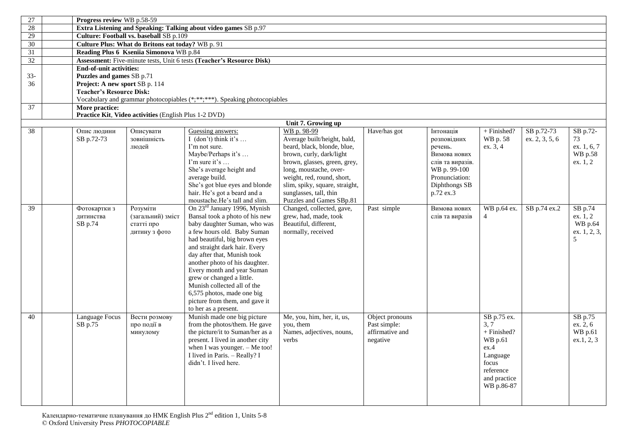| 27     |                | Progress review WB p.58-59                                            |                                                                           |                                                         |                 |                         |              |                |                        |  |  |  |  |  |
|--------|----------------|-----------------------------------------------------------------------|---------------------------------------------------------------------------|---------------------------------------------------------|-----------------|-------------------------|--------------|----------------|------------------------|--|--|--|--|--|
| 28     |                | Extra Listening and Speaking: Talking about video games SB p.97       |                                                                           |                                                         |                 |                         |              |                |                        |  |  |  |  |  |
| 29     |                | Culture: Football vs. baseball SB p.109                               |                                                                           |                                                         |                 |                         |              |                |                        |  |  |  |  |  |
| 30     |                | Culture Plus: What do Britons eat today? WB p. 91                     |                                                                           |                                                         |                 |                         |              |                |                        |  |  |  |  |  |
| 31     |                | Reading Plus 6 Kseniia Simonova WB p.84                               |                                                                           |                                                         |                 |                         |              |                |                        |  |  |  |  |  |
| 32     |                | Assessment: Five-minute tests, Unit 6 tests (Teacher's Resource Disk) |                                                                           |                                                         |                 |                         |              |                |                        |  |  |  |  |  |
|        |                | <b>End-of-unit activities:</b>                                        |                                                                           |                                                         |                 |                         |              |                |                        |  |  |  |  |  |
| $33 -$ |                | Puzzles and games SB p.71                                             |                                                                           |                                                         |                 |                         |              |                |                        |  |  |  |  |  |
| 36     |                | Project: A new sport SB p. 114                                        |                                                                           |                                                         |                 |                         |              |                |                        |  |  |  |  |  |
|        |                | <b>Teacher's Resource Disk:</b>                                       |                                                                           |                                                         |                 |                         |              |                |                        |  |  |  |  |  |
|        |                |                                                                       | Vocabulary and grammar photocopiables (*;**;***). Speaking photocopiables |                                                         |                 |                         |              |                |                        |  |  |  |  |  |
| 37     | More practice: |                                                                       |                                                                           |                                                         |                 |                         |              |                |                        |  |  |  |  |  |
|        |                | Practice Kit, Video activities (English Plus 1-2 DVD)                 |                                                                           |                                                         |                 |                         |              |                |                        |  |  |  |  |  |
|        |                |                                                                       |                                                                           | Unit 7. Growing up                                      |                 |                         |              |                |                        |  |  |  |  |  |
| 38     | Опис людини    | Описувати                                                             | Guessing answers:                                                         | WB p. 98-99                                             | Have/has got    | Інтонація               | + Finished?  | SB p.72-73     | SB p.72-               |  |  |  |  |  |
|        | SB p.72-73     | зовнішність                                                           | I (don't) think it's                                                      | Average built/height, bald,                             |                 | розповідних             | WB p. 58     | ex. 2, 3, 5, 6 | 73                     |  |  |  |  |  |
|        |                | людей                                                                 | I'm not sure.<br>Maybe/Perhaps it's                                       | beard, black, blonde, blue,<br>brown, curly, dark/light |                 | речень.<br>Вимова нових | ex. 3, 4     |                | ex. 1, 6, 7<br>WB p.58 |  |  |  |  |  |
|        |                |                                                                       | I'm sure it's                                                             | brown, glasses, green, grey,                            |                 | слів та виразів.        |              |                | ex. 1, 2               |  |  |  |  |  |
|        |                |                                                                       | She's average height and                                                  | long, moustache, over-                                  |                 | WB p. 99-100            |              |                |                        |  |  |  |  |  |
|        |                |                                                                       | average build.                                                            | weight, red, round, short,                              |                 | Pronunciation:          |              |                |                        |  |  |  |  |  |
|        |                |                                                                       | She's got blue eyes and blonde                                            | slim, spiky, square, straight,                          |                 | Diphthongs SB           |              |                |                        |  |  |  |  |  |
|        |                |                                                                       | hair. He's got a beard and a                                              | sunglasses, tall, thin                                  |                 | p.72 ex.3               |              |                |                        |  |  |  |  |  |
|        |                |                                                                       | moustache.He's tall and slim.                                             | Puzzles and Games SBp.81                                |                 |                         |              |                |                        |  |  |  |  |  |
| 39     | Фотокартки з   | Розуміти                                                              | On 23 <sup>rd</sup> January 1996, Mynish                                  | Changed, collected, gave,                               | Past simple     | Вимова нових            | WB p.64 ex.  | SB p.74 ex.2   | SB p.74                |  |  |  |  |  |
|        | литинства      | (загальний) зміст                                                     | Bansal took a photo of his new                                            | grew, had, made, took                                   |                 | слів та виразів         | 4            |                | ex. 1, 2               |  |  |  |  |  |
|        | SB p.74        | статті про                                                            | baby daughter Suman, who was                                              | Beautiful, different,                                   |                 |                         |              |                | WB p.64                |  |  |  |  |  |
|        |                | дитину з фото                                                         | a few hours old. Baby Suman                                               | normally, received                                      |                 |                         |              |                | ex. 1, 2, 3,           |  |  |  |  |  |
|        |                |                                                                       | had beautiful, big brown eyes                                             |                                                         |                 |                         |              |                | 5                      |  |  |  |  |  |
|        |                |                                                                       | and straight dark hair. Every                                             |                                                         |                 |                         |              |                |                        |  |  |  |  |  |
|        |                |                                                                       | day after that, Munish took                                               |                                                         |                 |                         |              |                |                        |  |  |  |  |  |
|        |                |                                                                       | another photo of his daughter.                                            |                                                         |                 |                         |              |                |                        |  |  |  |  |  |
|        |                |                                                                       | Every month and year Suman                                                |                                                         |                 |                         |              |                |                        |  |  |  |  |  |
|        |                |                                                                       | grew or changed a little.<br>Munish collected all of the                  |                                                         |                 |                         |              |                |                        |  |  |  |  |  |
|        |                |                                                                       | 6,575 photos, made one big                                                |                                                         |                 |                         |              |                |                        |  |  |  |  |  |
|        |                |                                                                       | picture from them, and gave it                                            |                                                         |                 |                         |              |                |                        |  |  |  |  |  |
|        |                |                                                                       | to her as a present.                                                      |                                                         |                 |                         |              |                |                        |  |  |  |  |  |
| 40     | Language Focus | Вести розмову                                                         | Munish made one big picture                                               | Me, you, him, her, it, us,                              | Object pronouns |                         | SB p.75 ex.  |                | SB p.75                |  |  |  |  |  |
|        | SB p.75        | про події в                                                           | from the photos/them. He gave                                             | you, them                                               | Past simple:    |                         | 3, 7         |                | ex. 2, 6               |  |  |  |  |  |
|        |                | минулому                                                              | the picture/it to Suman/her as a                                          | Names, adjectives, nouns,                               | affirmative and |                         | + Finished?  |                | WB p.61                |  |  |  |  |  |
|        |                |                                                                       | present. I lived in another city                                          | verbs                                                   | negative        |                         | WB p.61      |                | ex.1, 2, 3             |  |  |  |  |  |
|        |                |                                                                       | when I was younger. - Me too!                                             |                                                         |                 |                         | ex.4         |                |                        |  |  |  |  |  |
|        |                |                                                                       | I lived in Paris. - Really? I                                             |                                                         |                 |                         | Language     |                |                        |  |  |  |  |  |
|        |                |                                                                       | didn't. I lived here.                                                     |                                                         |                 |                         | focus        |                |                        |  |  |  |  |  |
|        |                |                                                                       |                                                                           |                                                         |                 |                         | reference    |                |                        |  |  |  |  |  |
|        |                |                                                                       |                                                                           |                                                         |                 |                         | and practice |                |                        |  |  |  |  |  |
|        |                |                                                                       |                                                                           |                                                         |                 |                         | WB p.86-87   |                |                        |  |  |  |  |  |
|        |                |                                                                       |                                                                           |                                                         |                 |                         |              |                |                        |  |  |  |  |  |
|        |                |                                                                       |                                                                           |                                                         |                 |                         |              |                |                        |  |  |  |  |  |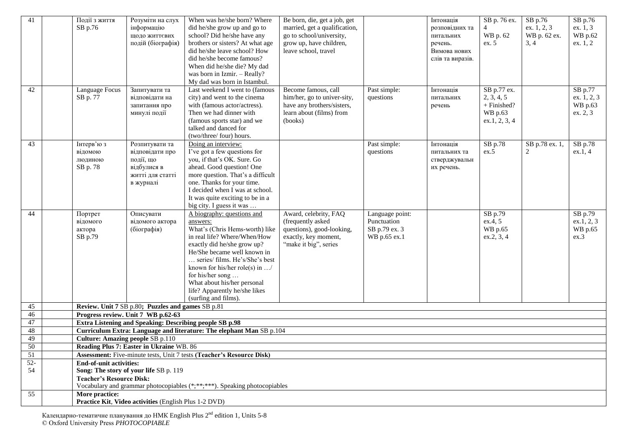| 41<br>42 | Події з життя<br>SB p.76<br>Language Focus   | Розуміти на слух<br>інформацію<br>ЩОДО ЖИТТЄВИХ<br>подій (біографія)<br>Запитувати та          | When was he/she born? Where<br>did he/she grow up and go to<br>school? Did he/she have any<br>brothers or sisters? At what age<br>did he/she leave school? How<br>did he/she become famous?<br>When did he/she die? My dad<br>was born in Izmir. - Really?<br>My dad was born in Istambul.<br>Last weekend I went to (famous                                   | Be born, die, get a job, get<br>married, get a qualification,<br>go to school/university,<br>grow up, have children,<br>leave school, travel<br>Become famous, call | Past simple:                                                    | Інтонація<br>розповідних та<br>питальних<br>речень.<br>Вимова нових<br>слів та виразів.<br>Інтонація | SB p. 76 ex.<br>4<br>WB p. 62<br>ex. 5<br>SB p.77 ex. | SB p.76<br>ex. 1, 2, 3<br>WB p. 62 ex.<br>3, 4 | SB p.76<br>ex. 1, 3<br>WB p.62<br>ex. 1, 2<br>SB p.77 |
|----------|----------------------------------------------|------------------------------------------------------------------------------------------------|----------------------------------------------------------------------------------------------------------------------------------------------------------------------------------------------------------------------------------------------------------------------------------------------------------------------------------------------------------------|---------------------------------------------------------------------------------------------------------------------------------------------------------------------|-----------------------------------------------------------------|------------------------------------------------------------------------------------------------------|-------------------------------------------------------|------------------------------------------------|-------------------------------------------------------|
|          | SB p. 77                                     | відповідати на<br>запитання про<br>минулі події                                                | city) and went to the cinema<br>with (famous actor/actress).<br>Then we had dinner with<br>(famous sports star) and we<br>talked and danced for<br>(two/three/ four) hours.                                                                                                                                                                                    | him/her, go to univer-sity,<br>have any brothers/sisters,<br>learn about (films) from<br>(books)                                                                    | questions                                                       | питальних<br>речень                                                                                  | 2, 3, 4, 5<br>+ Finished?<br>WB p.63<br>ex.1, 2, 3, 4 |                                                | ex. 1, 2, 3<br>WB p.63<br>ex. 2, 3                    |
| 43       | Інтерв'ю з<br>відомою<br>людиною<br>SB p. 78 | Розпитувати та<br>відповідати про<br>події, що<br>відбулися в<br>житті для статті<br>в журналі | Doing an interview:<br>I've got a few questions for<br>you, if that's OK. Sure. Go<br>ahead. Good question! One<br>more question. That's a difficult<br>one. Thanks for your time.<br>I decided when I was at school.<br>It was quite exciting to be in a<br>big city. I guess it was                                                                          |                                                                                                                                                                     | Past simple:<br>questions                                       | Інтонація<br>питальних та<br>стверджувальн<br>их речень.                                             | SB p.78<br>ex.5                                       | SB p.78 ex. 1,<br>2                            | SB p.78<br>ex.1, 4                                    |
| 44       | Портрет<br>відомого<br>актора<br>SB p.79     | Описувати<br>відомого актора<br>(біографія)                                                    | A biography: questions and<br>answers:<br>What's (Chris Hems-worth) like<br>in real life? Where/When/How<br>exactly did he/she grow up?<br>He/She became well known in<br>series/ films. He's/She's best<br>known for his/her role(s) in $\dots$ /<br>for his/her song<br>What about his/her personal<br>life? Apparently he/she likes<br>(surfing and films). | Award, celebrity, FAQ<br>(frequently asked<br>questions), good-looking,<br>exactly, key moment,<br>"make it big", series                                            | Language point:<br>Punctuation<br>SB p.79 ex. 3<br>WB p.65 ex.1 |                                                                                                      | SB p.79<br>ex.4, 5<br>WB p.65<br>ex.2, 3, 4           |                                                | SB p.79<br>ex.1, 2, 3<br>WB p.65<br>ex.3              |
| 45       |                                              | Review. Unit 7 SB p.80; Puzzles and games SB p.81                                              |                                                                                                                                                                                                                                                                                                                                                                |                                                                                                                                                                     |                                                                 |                                                                                                      |                                                       |                                                |                                                       |
| 46       |                                              | Progress review. Unit 7 WB p.62-63                                                             |                                                                                                                                                                                                                                                                                                                                                                |                                                                                                                                                                     |                                                                 |                                                                                                      |                                                       |                                                |                                                       |
| 47       |                                              | Extra Listening and Speaking: Describing people SB p.98                                        |                                                                                                                                                                                                                                                                                                                                                                |                                                                                                                                                                     |                                                                 |                                                                                                      |                                                       |                                                |                                                       |
| 48<br>49 |                                              |                                                                                                | Curriculum Extra: Language and literature: The elephant Man SB p.104                                                                                                                                                                                                                                                                                           |                                                                                                                                                                     |                                                                 |                                                                                                      |                                                       |                                                |                                                       |
| 50       | <b>Culture: Amazing people SB p.110</b>      | Reading Plus 7: Easter in Ukraine WB. 86                                                       |                                                                                                                                                                                                                                                                                                                                                                |                                                                                                                                                                     |                                                                 |                                                                                                      |                                                       |                                                |                                                       |
| 51       |                                              |                                                                                                | Assessment: Five-minute tests, Unit 7 tests (Teacher's Resource Disk)                                                                                                                                                                                                                                                                                          |                                                                                                                                                                     |                                                                 |                                                                                                      |                                                       |                                                |                                                       |
| $52 -$   | <b>End-of-unit activities:</b>               |                                                                                                |                                                                                                                                                                                                                                                                                                                                                                |                                                                                                                                                                     |                                                                 |                                                                                                      |                                                       |                                                |                                                       |
| 54       |                                              | Song: The story of your life SB p. 119                                                         |                                                                                                                                                                                                                                                                                                                                                                |                                                                                                                                                                     |                                                                 |                                                                                                      |                                                       |                                                |                                                       |
|          | <b>Teacher's Resource Disk:</b>              |                                                                                                |                                                                                                                                                                                                                                                                                                                                                                |                                                                                                                                                                     |                                                                 |                                                                                                      |                                                       |                                                |                                                       |
|          |                                              |                                                                                                | Vocabulary and grammar photocopiables (*;**;***). Speaking photocopiables                                                                                                                                                                                                                                                                                      |                                                                                                                                                                     |                                                                 |                                                                                                      |                                                       |                                                |                                                       |
| 55       | More practice:                               | Practice Kit, Video activities (English Plus 1-2 DVD)                                          |                                                                                                                                                                                                                                                                                                                                                                |                                                                                                                                                                     |                                                                 |                                                                                                      |                                                       |                                                |                                                       |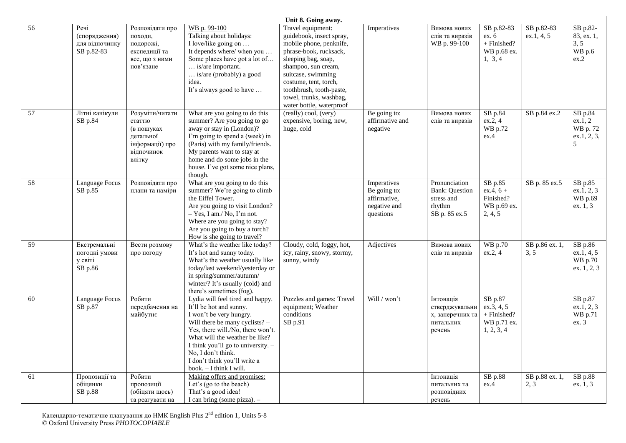|    |                                                       |                                                                                                 |                                                                                                                                                                                                                                                                                                                        | Unit 8. Going away.                                                                                                                                                                                                                                                                |                                                                          |                                                                                 |                                                                   |                          |                                                       |
|----|-------------------------------------------------------|-------------------------------------------------------------------------------------------------|------------------------------------------------------------------------------------------------------------------------------------------------------------------------------------------------------------------------------------------------------------------------------------------------------------------------|------------------------------------------------------------------------------------------------------------------------------------------------------------------------------------------------------------------------------------------------------------------------------------|--------------------------------------------------------------------------|---------------------------------------------------------------------------------|-------------------------------------------------------------------|--------------------------|-------------------------------------------------------|
| 56 | Речі<br>(спорядження)<br>для відпочинку<br>SB p.82-83 | Розповідати про<br>походи,<br>подорожі,<br>експедиції та<br>все, що з ними<br>пов'язане         | WB p. 99-100<br>Talking about holidays:<br>I love/like going on<br>It depends where/ when you<br>Some places have got a lot of<br>is/are important.<br>is/are (probably) a good<br>idea.<br>It's always good to have                                                                                                   | Travel equipment:<br>guidebook, insect spray,<br>mobile phone, penknife,<br>phrase-book, rucksack,<br>sleeping bag, soap,<br>shampoo, sun cream,<br>suitcase, swimming<br>costume, tent, torch,<br>toothbrush, tooth-paste,<br>towel, trunks, washbag,<br>water bottle, waterproof | Imperatives                                                              | Вимова нових<br>слів та виразів<br>WB p. 99-100                                 | SB p.82-83<br>ex.6<br>+ Finished?<br>WB p.68 ex.<br>1, 3, 4       | SB p.82-83<br>ex.1, 4, 5 | SB p.82-<br>83, ex. 1,<br>3, 5<br>WB p.6<br>ex.2      |
| 57 | Літні канікули<br>SB p.84                             | Розуміти/читати<br>статтю<br>(в пошуках<br>детальної<br>інформації) про<br>відпочинок<br>влітку | What are you going to do this<br>summer? Are you going to go<br>away or stay in (London)?<br>I'm going to spend a (week) in<br>(Paris) with my family/friends.<br>My parents want to stay at<br>home and do some jobs in the<br>house. I've got some nice plans,<br>though.                                            | (really) cool, (very)<br>expensive, boring, new,<br>huge, cold                                                                                                                                                                                                                     | Be going to:<br>affirmative and<br>negative                              | Вимова нових<br>слів та виразів                                                 | $SB$ p.84<br>ex.2, 4<br>WB p.72<br>ex.4                           | SB p.84 ex.2             | SB p.84<br>ex.1, 2<br>WB p. 72<br>ex.1, 2, 3,<br>5    |
| 58 | Language Focus<br>SB p.85                             | Розповідати про<br>плани та наміри                                                              | What are you going to do this<br>summer? We're going to climb<br>the Eiffel Tower.<br>Are you going to visit London?<br>$-$ Yes, I am./ No, I'm not.<br>Where are you going to stay?<br>Are you going to buy a torch?<br>How is she going to travel?                                                                   |                                                                                                                                                                                                                                                                                    | Imperatives<br>Be going to:<br>affirmative,<br>negative and<br>questions | Pronunciation<br><b>Bank: Question</b><br>stress and<br>rhythm<br>SB p. 85 ex.5 | SB p.85<br>$ex.4, 6 +$<br>Finished?<br>WB p.69 ex.<br>2, 4, 5     | SB p. 85 ex.5            | SB p.85<br>ex.1, 2, 3<br>WB p.69<br>ex. 1, 3          |
| 59 | Екстремальні<br>погодні умови<br>у світі<br>SB p.86   | Вести розмову<br>про погоду                                                                     | What's the weather like today?<br>It's hot and sunny today.<br>What's the weather usually like<br>today/last weekend/yesterday or<br>in spring/summer/autumn/<br>winter/? It's usually (cold) and<br>there's sometimes (fog).                                                                                          | Cloudy, cold, foggy, hot,<br>icy, rainy, snowy, stormy,<br>sunny, windy                                                                                                                                                                                                            | Adjectives                                                               | Вимова нових<br>слів та виразів                                                 | <b>WB</b> p.70<br>ex.2, 4                                         | SB p.86 ex. 1,<br>3, 5   | SB p.86<br>ex.1, 4, 5<br>WB p.70<br>ex. 1, 2, 3       |
| 60 | Language Focus<br>SB p.87                             | Робити<br>передбачення на<br>майбутнє                                                           | Lydia will feel tired and happy.<br>It'll be hot and sunny.<br>I won't be very hungry.<br>Will there be many cyclists? -<br>Yes, there will./No, there won't.<br>What will the weather be like?<br>I think you'll go to university. -<br>No, I don't think.<br>I don't think you'll write a<br>book. - I think I will. | Puzzles and games: Travel<br>equipment; Weather<br>conditions<br>SB p.91                                                                                                                                                                                                           | Will / won't                                                             | Інтонація<br>стверджувальни<br>х, заперечних та<br>питальних<br>речень          | SB p.87<br>ex.3, 4, 5<br>+ Finished?<br>WB p.71 ex.<br>1, 2, 3, 4 |                          | SB p.87<br>$ex.\overline{1}, 2, 3$<br>WB p.71<br>ex.3 |
| 61 | Пропозиції та<br>обіцянки<br>SB p.88                  | Робити<br>пропозиції<br>(обіцяти щось)<br>та реагувати на                                       | Making offers and promises:<br>Let's (go to the beach)<br>That's a good idea!<br>I can bring (some pizza). -                                                                                                                                                                                                           |                                                                                                                                                                                                                                                                                    |                                                                          | Інтонація<br>питальних та<br>розповідних<br>речень                              | SB p.88<br>ex.4                                                   | SB p.88 ex. 1,<br>2, 3   | $SB$ p.88<br>ex. 1, 3                                 |